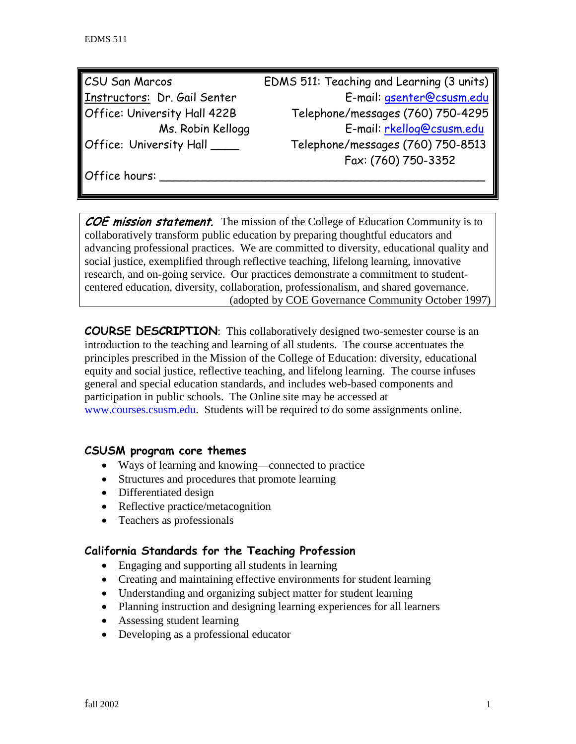| <b>CSU San Marcos</b>        | EDMS 511: Teaching and Learning (3 units) |
|------------------------------|-------------------------------------------|
| Instructors: Dr. Gail Senter | E-mail: gsenter@csusm.edu                 |
| Office: University Hall 422B | Telephone/messages (760) 750-4295         |
| Ms. Robin Kellogg            | E-mail: rkellog@csusm.edu                 |
| Office: University Hall ____ | Telephone/messages (760) 750-8513         |
|                              | Fax: (760) 750-3352                       |

Office hours:

COE mission statement. The mission of the College of Education Community is to collaboratively transform public education by preparing thoughtful educators and advancing professional practices. We are committed to diversity, educational quality and social justice, exemplified through reflective teaching, lifelong learning, innovative research, and on-going service. Our practices demonstrate a commitment to studentcentered education, diversity, collaboration, professionalism, and shared governance. (adopted by COE Governance Community October 1997)

**COURSE DESCRIPTION**: This collaboratively designed two-semester course is an introduction to the teaching and learning of all students. The course accentuates the principles prescribed in the Mission of the College of Education: diversity, educational equity and social justice, reflective teaching, and lifelong learning. The course infuses general and special education standards, and includes web-based components and participation in public schools. The Online site may be accessed at [www.courses.csusm.edu.](http://www.courses.csusm.edu/) Students will be required to do some assignments online.

#### **CSUSM program core themes**

- Ways of learning and knowing—connected to practice
- Structures and procedures that promote learning
- Differentiated design
- Reflective practice/metacognition
- Teachers as professionals

## **California Standards for the Teaching Profession**

- Engaging and supporting all students in learning
- Creating and maintaining effective environments for student learning
- Understanding and organizing subject matter for student learning
- Planning instruction and designing learning experiences for all learners
- Assessing student learning
- Developing as a professional educator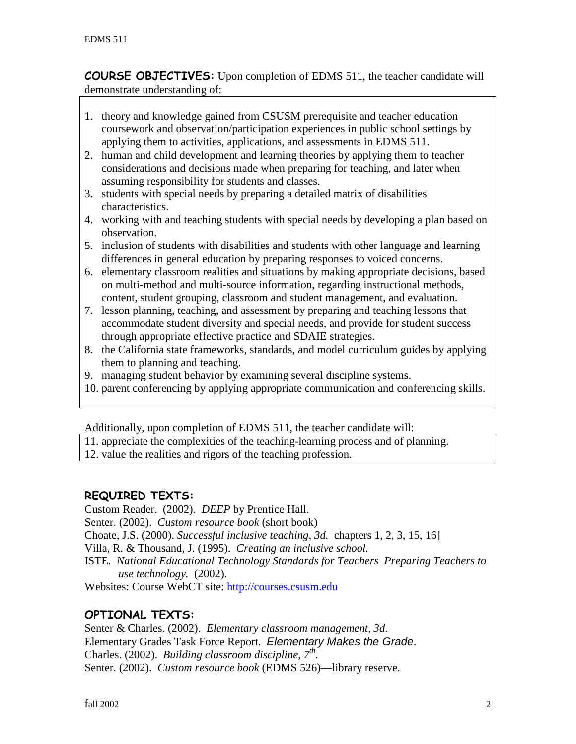**COURSE OBJECTIVES:** Upon completion of EDMS 511, the teacher candidate will demonstrate understanding of:

- 1. theory and knowledge gained from CSUSM prerequisite and teacher education coursework and observation/participation experiences in public school settings by applying them to activities, applications, and assessments in EDMS 511.
- 2. human and child development and learning theories by applying them to teacher considerations and decisions made when preparing for teaching, and later when assuming responsibility for students and classes.
- 3. students with special needs by preparing a detailed matrix of disabilities characteristics.
- 4. working with and teaching students with special needs by developing a plan based on observation.
- 5. inclusion of students with disabilities and students with other language and learning differences in general education by preparing responses to voiced concerns.
- 6. elementary classroom realities and situations by making appropriate decisions, based on multi-method and multi-source information, regarding instructional methods, content, student grouping, classroom and student management, and evaluation.
- 7. lesson planning, teaching, and assessment by preparing and teaching lessons that accommodate student diversity and special needs, and provide for student success through appropriate effective practice and SDAIE strategies.
- 8. the California state frameworks, standards, and model curriculum guides by applying them to planning and teaching.
- 9. managing student behavior by examining several discipline systems.
- 10. parent conferencing by applying appropriate communication and conferencing skills.

Additionally, upon completion of EDMS 511, the teacher candidate will:

11. appreciate the complexities of the teaching-learning process and of planning.

12. value the realities and rigors of the teaching profession.

## **REQUIRED TEXTS:**

Custom Reader. (2002). *DEEP* by Prentice Hall. Senter. (2002). *Custom resource book* (short book) Choate, J.S. (2000). *Successful inclusive teaching, 3d.* chapters 1, 2, 3, 15, 16] Villa, R. & Thousand, J. (1995). *Creating an inclusive school.* ISTE. *National Educational Technology Standards for Teachers Preparing Teachers to use technology.* (2002). Websites: Course WebCT site: [http://courses.csusm.edu](http://courses.csusm.edu/)

# **OPTIONAL TEXTS:**

Senter & Charles. (2002). *Elementary classroom management, 3d*. Elementary Grades Task Force Report. *Elementary Makes the Grade*. Charles. (2002). *Building classroom discipline, 7th*. Senter. (2002). *Custom resource book* (EDMS 526)—library reserve.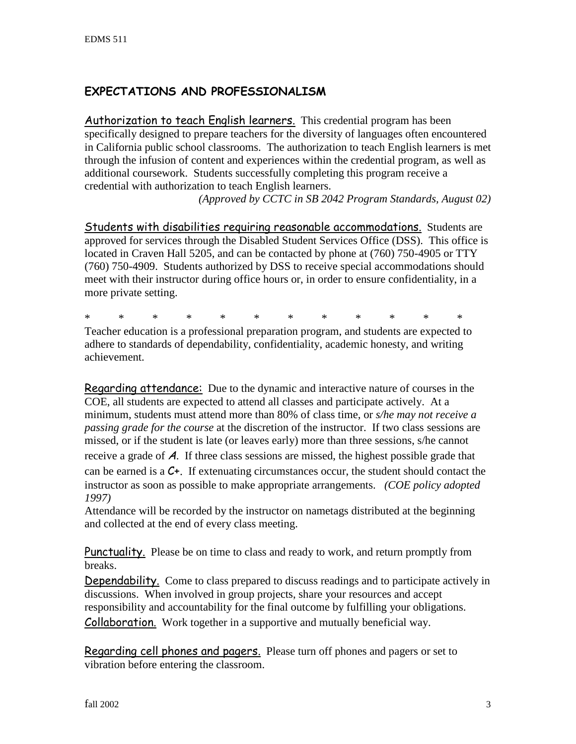## **EXPECTATIONS AND PROFESSIONALISM**

Authorization to teach English learners. This credential program has been specifically designed to prepare teachers for the diversity of languages often encountered in California public school classrooms. The authorization to teach English learners is met through the infusion of content and experiences within the credential program, as well as additional coursework. Students successfully completing this program receive a credential with authorization to teach English learners.

*(Approved by CCTC in SB 2042 Program Standards, August 02)*

Students with disabilities requiring reasonable accommodations. Students are approved for services through the Disabled Student Services Office (DSS). This office is located in Craven Hall 5205, and can be contacted by phone at (760) 750-4905 or TTY (760) 750-4909. Students authorized by DSS to receive special accommodations should meet with their instructor during office hours or, in order to ensure confidentiality, in a more private setting.

\* \* \* \* \* \* \* \* \* \* \* \*

Teacher education is a professional preparation program, and students are expected to adhere to standards of dependability, confidentiality, academic honesty, and writing achievement.

Regarding attendance: Due to the dynamic and interactive nature of courses in the COE, all students are expected to attend all classes and participate actively. At a minimum, students must attend more than 80% of class time, or *s/he may not receive a passing grade for the course* at the discretion of the instructor. If two class sessions are missed, or if the student is late (or leaves early) more than three sessions, s/he cannot receive a grade of  $\boldsymbol{A}$ . If three class sessions are missed, the highest possible grade that can be earned is a  $C_{+}$ . If extenuating circumstances occur, the student should contact the instructor as soon as possible to make appropriate arrangements. *(COE policy adopted 1997)*

Attendance will be recorded by the instructor on nametags distributed at the beginning and collected at the end of every class meeting.

Punctuality. Please be on time to class and ready to work, and return promptly from breaks.

Dependability. Come to class prepared to discuss readings and to participate actively in discussions. When involved in group projects, share your resources and accept responsibility and accountability for the final outcome by fulfilling your obligations. Collaboration. Work together in a supportive and mutually beneficial way.

Regarding cell phones and pagers. Please turn off phones and pagers or set to vibration before entering the classroom.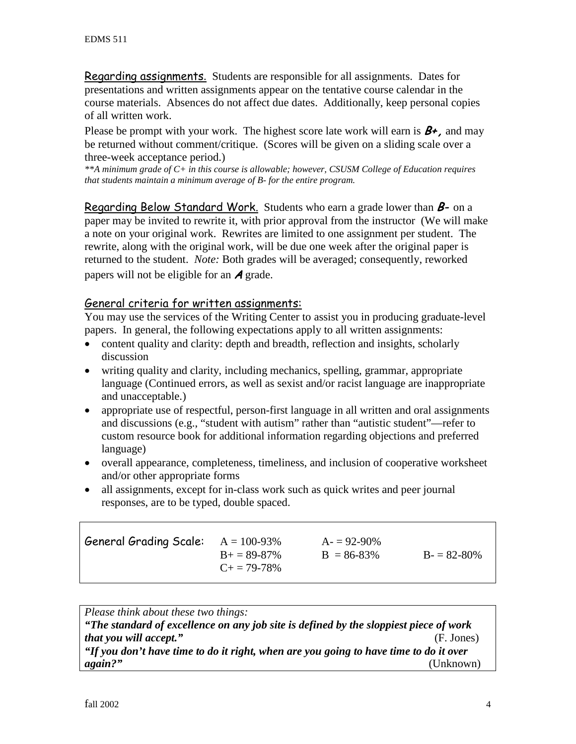Regarding assignments. Students are responsible for all assignments. Dates for presentations and written assignments appear on the tentative course calendar in the course materials. Absences do not affect due dates. Additionally, keep personal copies of all written work.

Please be prompt with your work. The highest score late work will earn is  $B_{+}$ , and may be returned without comment/critique. (Scores will be given on a sliding scale over a three-week acceptance period.)

*\*\*A minimum grade of C+ in this course is allowable; however, CSUSM College of Education requires that students maintain a minimum average of B- for the entire program.*

Regarding Below Standard Work. Students who earn a grade lower than  $B$ - on a paper may be invited to rewrite it, with prior approval from the instructor (We will make a note on your original work. Rewrites are limited to one assignment per student. The rewrite, along with the original work, will be due one week after the original paper is returned to the student. *Note:* Both grades will be averaged; consequently, reworked papers will not be eligible for an  $\boldsymbol{A}$  grade.

#### General criteria for written assignments:

You may use the services of the Writing Center to assist you in producing graduate-level papers. In general, the following expectations apply to all written assignments:

- content quality and clarity: depth and breadth, reflection and insights, scholarly discussion
- writing quality and clarity, including mechanics, spelling, grammar, appropriate language (Continued errors, as well as sexist and/or racist language are inappropriate and unacceptable.)
- appropriate use of respectful, person-first language in all written and oral assignments and discussions (e.g., "student with autism" rather than "autistic student"—refer to custom resource book for additional information regarding objections and preferred language)
- overall appearance, completeness, timeliness, and inclusion of cooperative worksheet and/or other appropriate forms
- all assignments, except for in-class work such as quick writes and peer journal responses, are to be typed, double spaced.

| General Grading Scale: $A = 100-93\%$ | $B_{+} = 89 - 87\%$<br>$C_{\pm} = 79-78\%$ | $A = 92-90\%$<br>$B = 86-83\%$ | $B = 82 - 80\%$ |
|---------------------------------------|--------------------------------------------|--------------------------------|-----------------|
|                                       |                                            |                                |                 |

*Please think about these two things: "The standard of excellence on any job site is defined by the sloppiest piece of work that you will accept."* (F. Jones) *"If you don't have time to do it right, when are you going to have time to do it over again?"* (Unknown)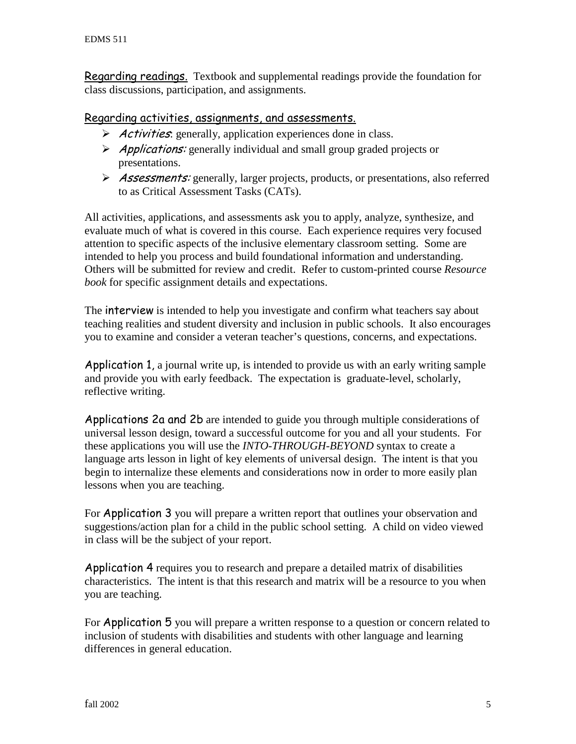**Regarding readings.** Textbook and supplemental readings provide the foundation for class discussions, participation, and assignments.

#### Regarding activities, assignments, and assessments.

- $\triangleright$  *Activities*: generally, application experiences done in class.
- $\triangleright$  *Applications:* generally individual and small group graded projects or presentations.
- Assessments: generally, larger projects, products, or presentations, also referred to as Critical Assessment Tasks (CATs).

All activities, applications, and assessments ask you to apply, analyze, synthesize, and evaluate much of what is covered in this course. Each experience requires very focused attention to specific aspects of the inclusive elementary classroom setting. Some are intended to help you process and build foundational information and understanding. Others will be submitted for review and credit. Refer to custom-printed course *Resource book* for specific assignment details and expectations.

The interview is intended to help you investigate and confirm what teachers say about teaching realities and student diversity and inclusion in public schools. It also encourages you to examine and consider a veteran teacher's questions, concerns, and expectations.

Application 1, a journal write up, is intended to provide us with an early writing sample and provide you with early feedback. The expectation is graduate-level, scholarly, reflective writing.

Applications 2a and 2b are intended to guide you through multiple considerations of universal lesson design, toward a successful outcome for you and all your students. For these applications you will use the *INTO-THROUGH-BEYOND* syntax to create a language arts lesson in light of key elements of universal design. The intent is that you begin to internalize these elements and considerations now in order to more easily plan lessons when you are teaching.

For Application 3 you will prepare a written report that outlines your observation and suggestions/action plan for a child in the public school setting. A child on video viewed in class will be the subject of your report.

Application 4 requires you to research and prepare a detailed matrix of disabilities characteristics. The intent is that this research and matrix will be a resource to you when you are teaching.

For Application 5 you will prepare a written response to a question or concern related to inclusion of students with disabilities and students with other language and learning differences in general education.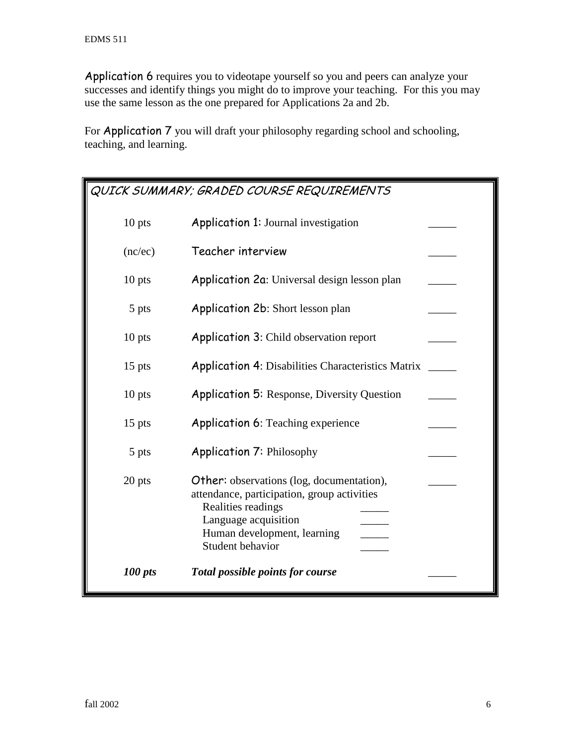Application 6 requires you to videotape yourself so you and peers can analyze your successes and identify things you might do to improve your teaching. For this you may use the same lesson as the one prepared for Applications 2a and 2b.

For Application 7 you will draft your philosophy regarding school and schooling, teaching, and learning.

| QUICK SUMMARY; GRADED COURSE REQUIREMENTS |                                                                                                                                                                                                  |  |
|-------------------------------------------|--------------------------------------------------------------------------------------------------------------------------------------------------------------------------------------------------|--|
| $10$ pts                                  | <b>Application 1: Journal investigation</b>                                                                                                                                                      |  |
| (nc/ec)                                   | Teacher interview                                                                                                                                                                                |  |
| $10$ pts                                  | Application 2a: Universal design lesson plan                                                                                                                                                     |  |
| 5 pts                                     | Application 2b: Short lesson plan                                                                                                                                                                |  |
| $10$ pts                                  | <b>Application 3: Child observation report</b>                                                                                                                                                   |  |
| $15$ pts                                  | <b>Application 4: Disabilities Characteristics Matrix</b>                                                                                                                                        |  |
| $10$ pts                                  | <b>Application 5: Response, Diversity Question</b>                                                                                                                                               |  |
| $15$ pts                                  | <b>Application 6: Teaching experience</b>                                                                                                                                                        |  |
| 5 pts                                     | <b>Application 7: Philosophy</b>                                                                                                                                                                 |  |
| 20 pts                                    | <b>Other:</b> observations (log, documentation),<br>attendance, participation, group activities<br>Realities readings<br>Language acquisition<br>Human development, learning<br>Student behavior |  |
| 100 pts                                   | Total possible points for course                                                                                                                                                                 |  |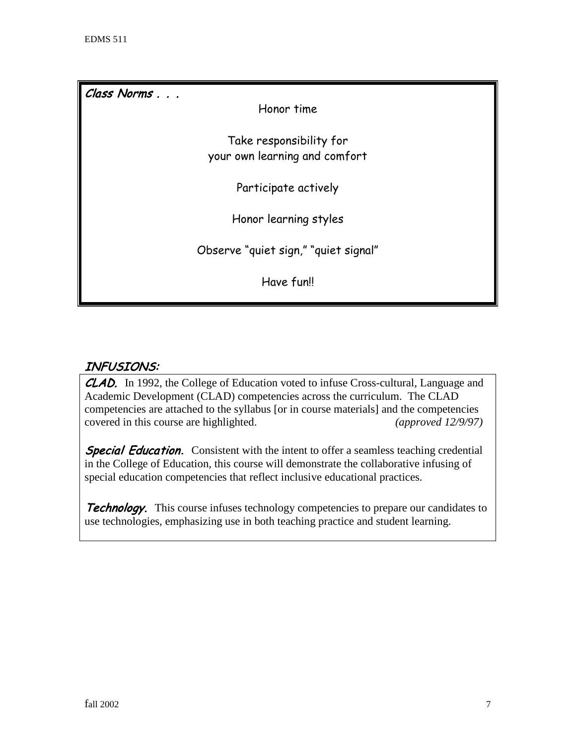Class Norms . . .

Honor time

Take responsibility for your own learning and comfort

Participate actively

Honor learning styles

Observe "quiet sign," "quiet signal"

Have fun!!

## INFUSIONS:

CLAD. In 1992, the College of Education voted to infuse Cross-cultural, Language and Academic Development (CLAD) competencies across the curriculum. The CLAD competencies are attached to the syllabus [or in course materials] and the competencies covered in this course are highlighted. *(approved 12/9/97)*

**Special Education.** Consistent with the intent to offer a seamless teaching credential in the College of Education, this course will demonstrate the collaborative infusing of special education competencies that reflect inclusive educational practices.

**Technology.** This course infuses technology competencies to prepare our candidates to use technologies, emphasizing use in both teaching practice and student learning.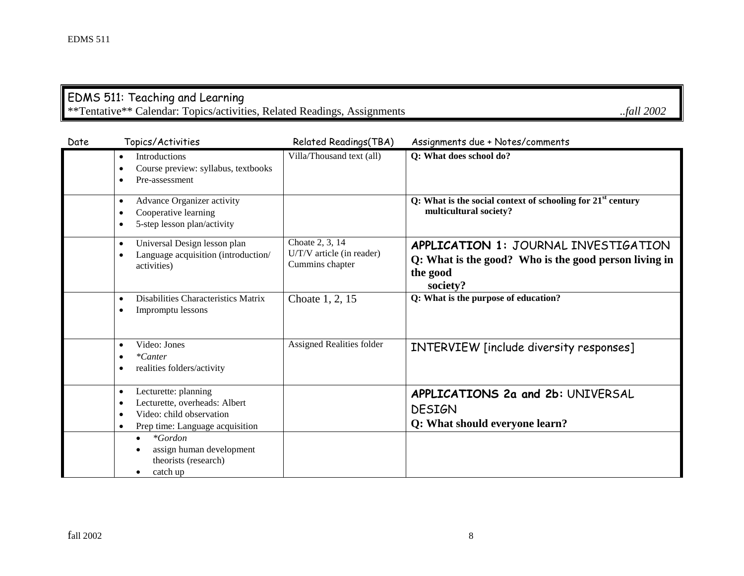### EDMS 511: Teaching and Learning \*\*Tentative\*\* Calendar: Topics/activities, Related Readings, Assignments *..fall 2002*

| Date | Topics/Activities                                                                                                                                                        | Related Readings(TBA)                                           | Assignments due + Notes/comments                                                                                             |
|------|--------------------------------------------------------------------------------------------------------------------------------------------------------------------------|-----------------------------------------------------------------|------------------------------------------------------------------------------------------------------------------------------|
|      | Introductions<br>$\bullet$<br>Course preview: syllabus, textbooks<br>٠<br>Pre-assessment<br>$\bullet$                                                                    | Villa/Thousand text (all)                                       | Q: What does school do?                                                                                                      |
|      | Advance Organizer activity<br>$\bullet$<br>Cooperative learning<br>٠<br>5-step lesson plan/activity<br>$\bullet$                                                         |                                                                 | Q: What is the social context of schooling for $21st$ century<br>multicultural society?                                      |
|      | Universal Design lesson plan<br>$\bullet$<br>Language acquisition (introduction/<br>$\bullet$<br>activities)                                                             | Choate 2, 3, 14<br>U/T/V article (in reader)<br>Cummins chapter | <b>APPLICATION 1: JOURNAL INVESTIGATION</b><br>Q: What is the good? Who is the good person living in<br>the good<br>society? |
|      | Disabilities Characteristics Matrix<br>$\bullet$<br>Impromptu lessons<br>$\bullet$                                                                                       | Choate 1, 2, 15                                                 | Q: What is the purpose of education?                                                                                         |
|      | Video: Jones<br>$\bullet$<br>$*Center$<br>$\bullet$<br>realities folders/activity<br>$\bullet$                                                                           | <b>Assigned Realities folder</b>                                | INTERVIEW [include diversity responses]                                                                                      |
|      | Lecturette: planning<br>$\bullet$<br>Lecturette, overheads: Albert<br>$\bullet$<br>Video: child observation<br>$\bullet$<br>Prep time: Language acquisition<br>$\bullet$ |                                                                 | APPLICATIONS 2a and 2b: UNIVERSAL<br><b>DESIGN</b><br>Q: What should everyone learn?                                         |
|      | $*Gordon$<br>$\bullet$<br>assign human development<br>theorists (research)<br>catch up<br>$\bullet$                                                                      |                                                                 |                                                                                                                              |